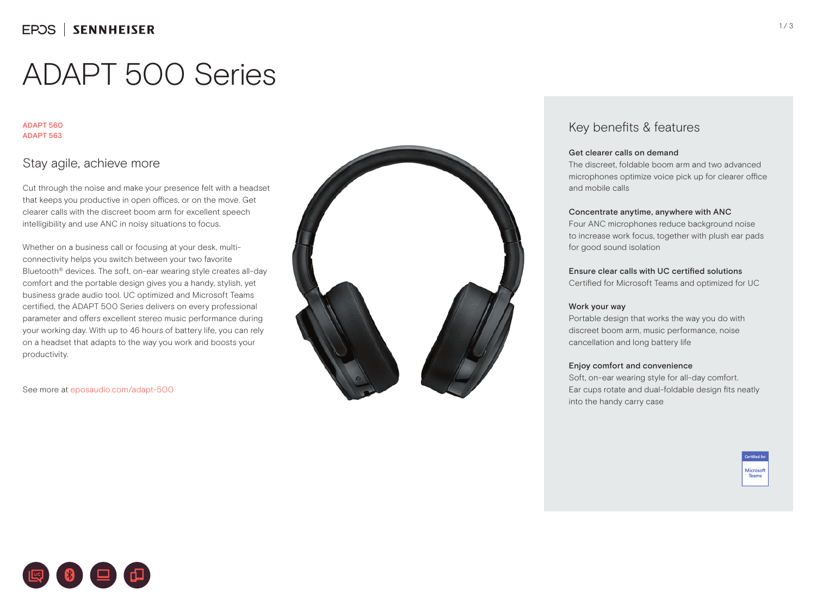# ADAPT 500 Series

#### ADAPT 560 ADAPT 563

## Stay agile, achieve more

Cut through the noise and make your presence felt with a headset that keeps you productive in open offices, or on the move. Get clearer calls with the discreet boom arm for excellent speech intelligibility and use ANC in noisy situations to focus.

Whether on a business call or focusing at your desk, multiconnectivity helps you switch between your two favorite Bluetooth® devices. The soft, on-ear wearing style creates all-day comfort and the portable design gives you a handy, stylish, yet business grade audio tool. UC optimized and Microsoft Teams certified, the ADAPT 500 Series delivers on every professional parameter and offers excellent stereo music performance during your working day. With up to 46 hours of battery life, you can rely on a headset that adapts to the way you work and boosts your productivity.

See more at eposaudio.com/adapt-500



## Key benefits & features

#### Get clearer calls on demand

The discreet, foldable boom arm and two advanced microphones optimize voice pick up for clearer office and mobile calls

#### Concentrate anytime, anywhere with ANC

Four ANC microphones reduce background noise to increase work focus, together with plush ear pads for good sound isolation

#### Ensure clear calls with UC certified solutions

Certified for Microsoft Teams and optimized for UC

#### Work your way

Portable design that works the way you do with discreet boom arm, music performance, noise cancellation and long battery life

#### Enjoy comfort and convenience

Soft, on-ear wearing style for all-day comfort. Ear cups rotate and dual-foldable design fits neatly into the handy carry case

> .<br>Certified for Microsoft Teams

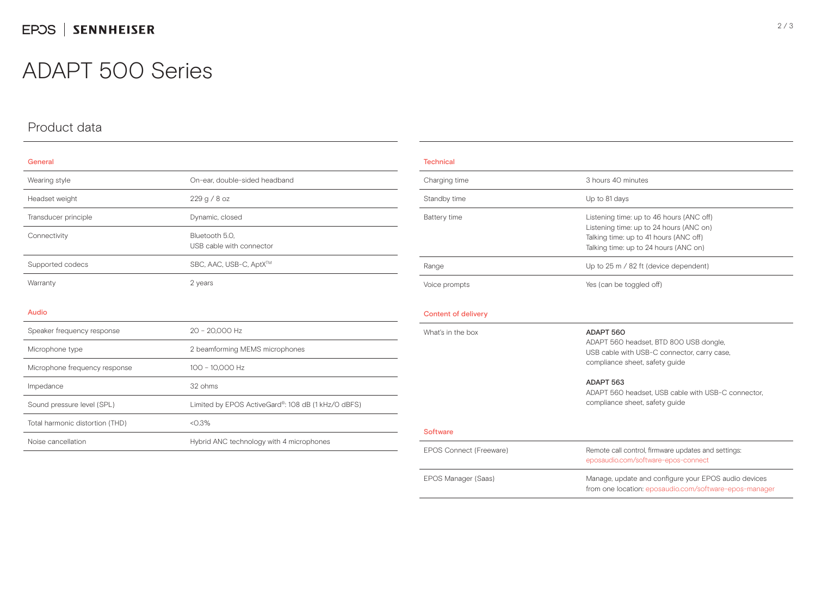## ADAPT 500 Series

Impedance 32 ohms

Total harmonic distortion (THD) <0.3%

## Product data

| General                       |                                            |  |
|-------------------------------|--------------------------------------------|--|
| Wearing style                 | On-ear, double-sided headband              |  |
| Headset weight                | 229 g / 8 oz                               |  |
| Transducer principle          | Dynamic, closed                            |  |
| Connectivity                  | Bluetooth 5.0,<br>USB cable with connector |  |
| Supported codecs              | SBC, AAC, USB-C, AptX™                     |  |
| Warranty                      | 2 years                                    |  |
|                               |                                            |  |
| Audio                         |                                            |  |
| Speaker frequency response    | 20 - 20,000 Hz                             |  |
| Microphone type               | 2 beamforming MEMS microphones             |  |
| Microphone frequency response | 100 - 10,000 Hz                            |  |

Sound pressure level (SPL) Limited by EPOS ActiveGard®: 108 dB (1 kHz/O dBFS)

Noise cancellation **Hybrid ANC technology with 4 microphones** 

| <b>Technical</b>    |                                                                                                                                                                        |  |
|---------------------|------------------------------------------------------------------------------------------------------------------------------------------------------------------------|--|
| Charging time       | 3 hours 40 minutes                                                                                                                                                     |  |
| Standby time        | Up to 81 days                                                                                                                                                          |  |
| Battery time        | Listening time: up to 46 hours (ANC off)<br>Listening time: up to 24 hours (ANC on)<br>Talking time: up to 41 hours (ANC off)<br>Talking time: up to 24 hours (ANC on) |  |
| Range               | Up to 25 m / 82 ft (device dependent)                                                                                                                                  |  |
| Voice prompts       | Yes (can be toggled off)                                                                                                                                               |  |
| Content of delivery |                                                                                                                                                                        |  |
| What's in the box   | ADAPT 560<br>ADAPT 560 headset, BTD 800 USB dongle,<br>USB cable with USB-C connector, carry case,                                                                     |  |

#### ADAPT 563

compliance sheet, safety guide

ADAPT 560 headset, USB cable with USB-C connector, compliance sheet, safety guide

#### **Software**

| EPOS Connect (Freeware) | Remote call control, firmware updates and settings:<br>eposaudio.com/software-epos-connect                     |
|-------------------------|----------------------------------------------------------------------------------------------------------------|
| EPOS Manager (Saas)     | Manage, update and configure your EPOS audio devices<br>from one location: eposaudio.com/software-epos-manager |